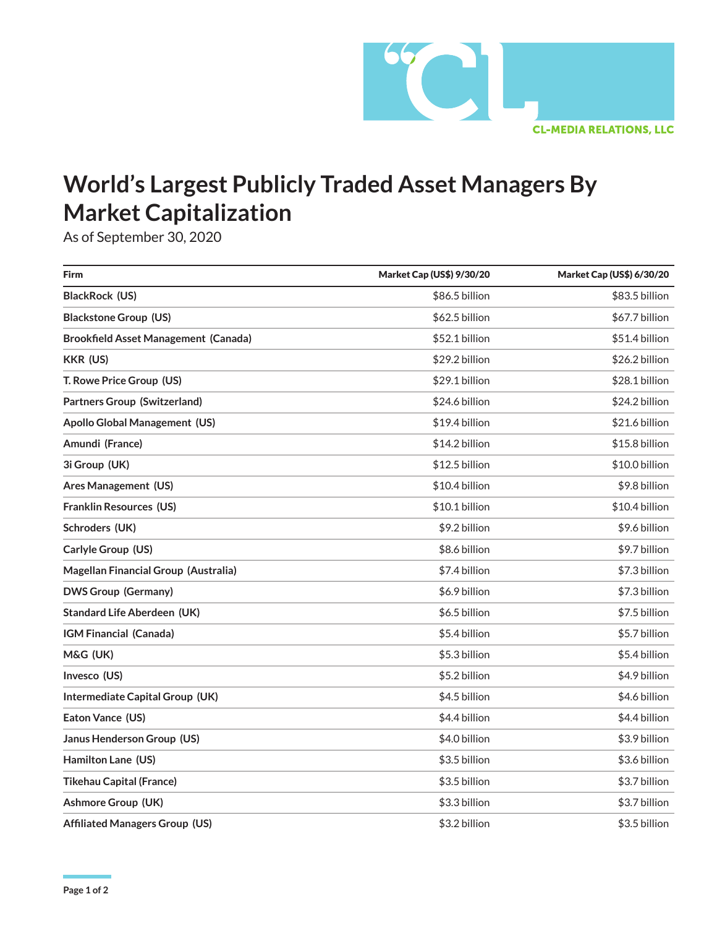

## **World's Largest Publicly Traded Asset Managers By Market Capitalization**

As of September 30, 2020

| <b>Firm</b>                                 | Market Cap (US\$) 9/30/20 | Market Cap (US\$) 6/30/20 |
|---------------------------------------------|---------------------------|---------------------------|
| BlackRock (US)                              | \$86.5 billion            | \$83.5 billion            |
| <b>Blackstone Group (US)</b>                | \$62.5 billion            | \$67.7 billion            |
| <b>Brookfield Asset Management (Canada)</b> | \$52.1 billion            | \$51.4 billion            |
| <b>KKR (US)</b>                             | \$29.2 billion            | \$26.2 billion            |
| T. Rowe Price Group (US)                    | \$29.1 billion            | \$28.1 billion            |
| <b>Partners Group (Switzerland)</b>         | \$24.6 billion            | \$24.2 billion            |
| <b>Apollo Global Management (US)</b>        | \$19.4 billion            | \$21.6 billion            |
| Amundi (France)                             | \$14.2 billion            | \$15.8 billion            |
| 3i Group (UK)                               | \$12.5 billion            | \$10.0 billion            |
| Ares Management (US)                        | \$10.4 billion            | \$9.8 billion             |
| <b>Franklin Resources (US)</b>              | \$10.1 billion            | \$10.4 billion            |
| Schroders (UK)                              | \$9.2 billion             | \$9.6 billion             |
| Carlyle Group (US)                          | \$8.6 billion             | \$9.7 billion             |
| Magellan Financial Group (Australia)        | \$7.4 billion             | \$7.3 billion             |
| <b>DWS Group (Germany)</b>                  | \$6.9 billion             | \$7.3 billion             |
| <b>Standard Life Aberdeen (UK)</b>          | \$6.5 billion             | \$7.5 billion             |
| IGM Financial (Canada)                      | \$5.4 billion             | \$5.7 billion             |
| M&G (UK)                                    | \$5.3 billion             | \$5.4 billion             |
| Invesco (US)                                | \$5.2 billion             | \$4.9 billion             |
| Intermediate Capital Group (UK)             | \$4.5 billion             | \$4.6 billion             |
| Eaton Vance (US)                            | \$4.4 billion             | \$4.4 billion             |
| Janus Henderson Group (US)                  | \$4.0 billion             | \$3.9 billion             |
| Hamilton Lane (US)                          | \$3.5 billion             | \$3.6 billion             |
| <b>Tikehau Capital (France)</b>             | \$3.5 billion             | \$3.7 billion             |
| <b>Ashmore Group (UK)</b>                   | \$3.3 billion             | \$3.7 billion             |
| <b>Affiliated Managers Group (US)</b>       | \$3.2 billion             | \$3.5 billion             |